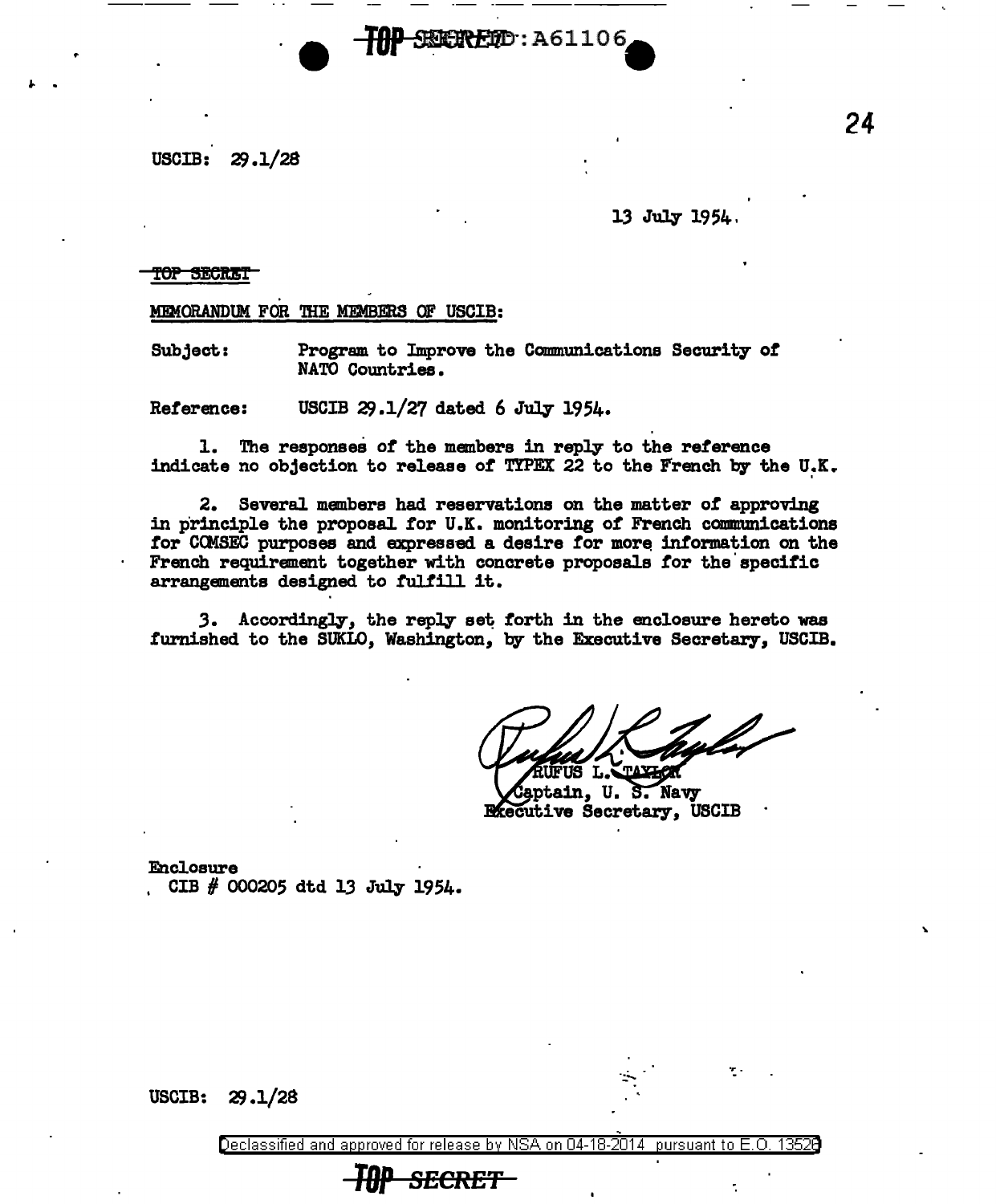$USCIB: 29.1/28$ 

## 13 July 1954

## top Secret

" .

## MEMORANDUM FOR THE MEMBERS OF USCIB:

Subject: Program to Improve the Communications Security of NATO Countries.

Reference: USCIB  $29.1/27$  dated 6 July 1954.

1. The responses of the members in reply to the reterence indicate no objection to release of TYPEX 22 to the French by the U.K.

SEERFED: A61106

2. Several members had reservations on the matter *ot* approving in principle the proposal for U.K. monitoring of French communications for COMSEC purposes and expressed a desire for more information on the French requirement together with concrete proposals for the specific arrangements designed to fulfill it.

3. Accordingly, the reply set forth in the enclosure hereto was furnished to the SUKLO, Washington, by the Executive Secretary, USCIB.

aptain, U.S. Navy **Executive Secretary, USCIB** 

Enclosure CIB  $#$  000205 dtd 13 July 1954.

 $USCIB: 29.1/28$ 

Declassified and approved for release by NSA on 04-18-2014 pursuant to E.O. 13528  $\,$ 

## **TBECKET**